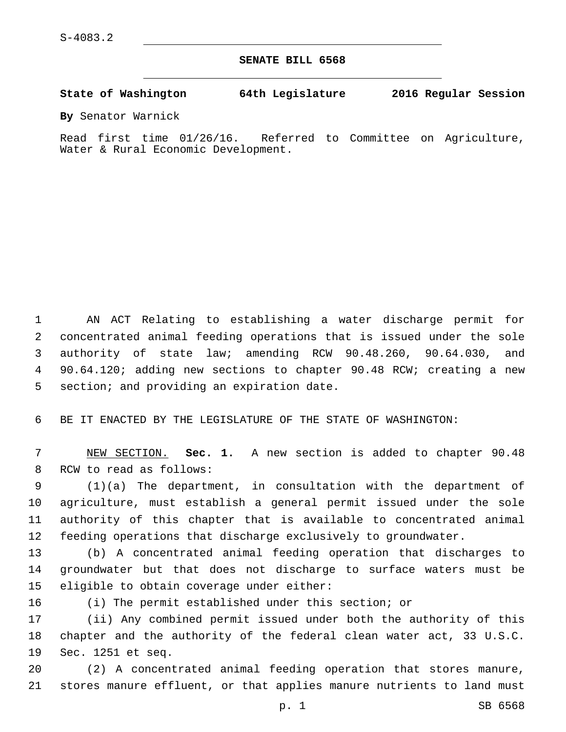**SENATE BILL 6568**

**State of Washington 64th Legislature 2016 Regular Session**

**By** Senator Warnick

Read first time 01/26/16. Referred to Committee on Agriculture, Water & Rural Economic Development.

 AN ACT Relating to establishing a water discharge permit for concentrated animal feeding operations that is issued under the sole authority of state law; amending RCW 90.48.260, 90.64.030, and 90.64.120; adding new sections to chapter 90.48 RCW; creating a new 5 section; and providing an expiration date.

BE IT ENACTED BY THE LEGISLATURE OF THE STATE OF WASHINGTON:

 NEW SECTION. **Sec. 1.** A new section is added to chapter 90.48 8 RCW to read as follows:

 (1)(a) The department, in consultation with the department of agriculture, must establish a general permit issued under the sole authority of this chapter that is available to concentrated animal feeding operations that discharge exclusively to groundwater.

 (b) A concentrated animal feeding operation that discharges to groundwater but that does not discharge to surface waters must be 15 eligible to obtain coverage under either:

(i) The permit established under this section; or

 (ii) Any combined permit issued under both the authority of this chapter and the authority of the federal clean water act, 33 U.S.C. 19 Sec. 1251 et seq.

 (2) A concentrated animal feeding operation that stores manure, stores manure effluent, or that applies manure nutrients to land must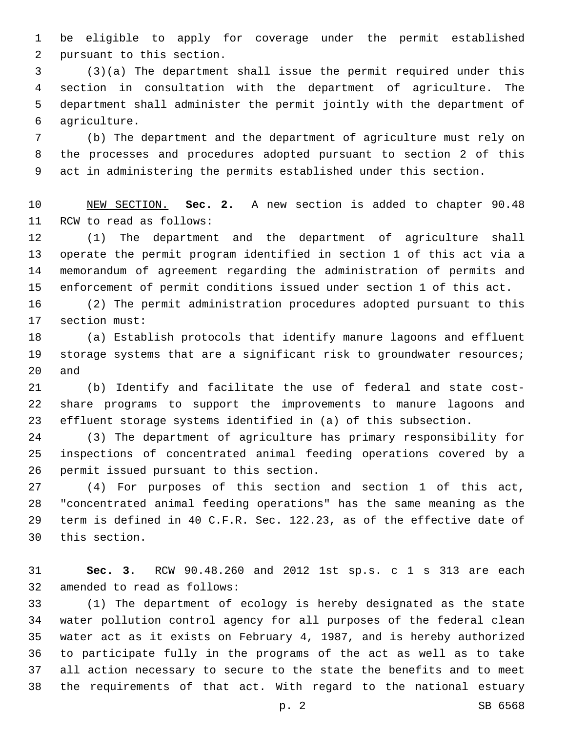be eligible to apply for coverage under the permit established 2 pursuant to this section.

 (3)(a) The department shall issue the permit required under this section in consultation with the department of agriculture. The department shall administer the permit jointly with the department of agriculture.6

 (b) The department and the department of agriculture must rely on the processes and procedures adopted pursuant to section 2 of this act in administering the permits established under this section.

 NEW SECTION. **Sec. 2.** A new section is added to chapter 90.48 11 RCW to read as follows:

 (1) The department and the department of agriculture shall operate the permit program identified in section 1 of this act via a memorandum of agreement regarding the administration of permits and enforcement of permit conditions issued under section 1 of this act.

 (2) The permit administration procedures adopted pursuant to this 17 section must:

 (a) Establish protocols that identify manure lagoons and effluent storage systems that are a significant risk to groundwater resources; and

 (b) Identify and facilitate the use of federal and state cost- share programs to support the improvements to manure lagoons and effluent storage systems identified in (a) of this subsection.

 (3) The department of agriculture has primary responsibility for inspections of concentrated animal feeding operations covered by a 26 permit issued pursuant to this section.

 (4) For purposes of this section and section 1 of this act, "concentrated animal feeding operations" has the same meaning as the term is defined in 40 C.F.R. Sec. 122.23, as of the effective date of 30 this section.

 **Sec. 3.** RCW 90.48.260 and 2012 1st sp.s. c 1 s 313 are each 32 amended to read as follows:

 (1) The department of ecology is hereby designated as the state water pollution control agency for all purposes of the federal clean water act as it exists on February 4, 1987, and is hereby authorized to participate fully in the programs of the act as well as to take all action necessary to secure to the state the benefits and to meet the requirements of that act. With regard to the national estuary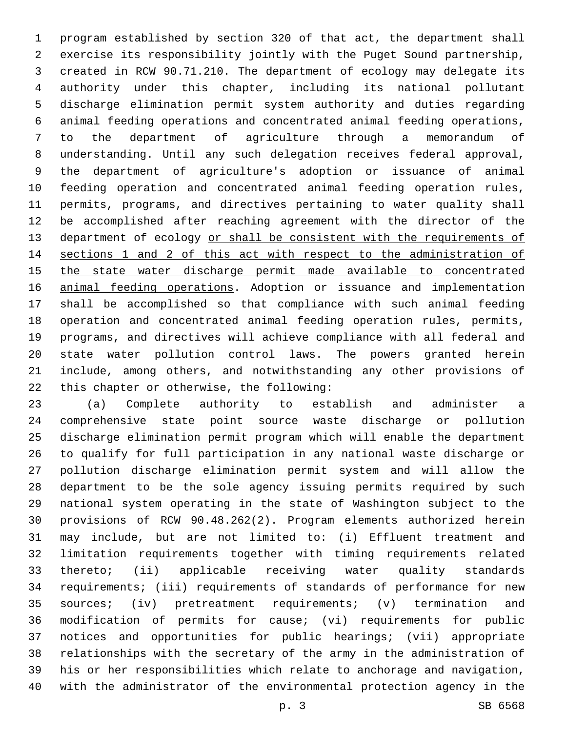program established by section 320 of that act, the department shall exercise its responsibility jointly with the Puget Sound partnership, created in RCW 90.71.210. The department of ecology may delegate its authority under this chapter, including its national pollutant discharge elimination permit system authority and duties regarding animal feeding operations and concentrated animal feeding operations, to the department of agriculture through a memorandum of understanding. Until any such delegation receives federal approval, the department of agriculture's adoption or issuance of animal feeding operation and concentrated animal feeding operation rules, permits, programs, and directives pertaining to water quality shall be accomplished after reaching agreement with the director of the 13 department of ecology or shall be consistent with the requirements of sections 1 and 2 of this act with respect to the administration of the state water discharge permit made available to concentrated 16 animal feeding operations. Adoption or issuance and implementation shall be accomplished so that compliance with such animal feeding operation and concentrated animal feeding operation rules, permits, programs, and directives will achieve compliance with all federal and state water pollution control laws. The powers granted herein include, among others, and notwithstanding any other provisions of 22 this chapter or otherwise, the following:

 (a) Complete authority to establish and administer a comprehensive state point source waste discharge or pollution discharge elimination permit program which will enable the department to qualify for full participation in any national waste discharge or pollution discharge elimination permit system and will allow the department to be the sole agency issuing permits required by such national system operating in the state of Washington subject to the provisions of RCW 90.48.262(2). Program elements authorized herein may include, but are not limited to: (i) Effluent treatment and limitation requirements together with timing requirements related thereto; (ii) applicable receiving water quality standards requirements; (iii) requirements of standards of performance for new sources; (iv) pretreatment requirements; (v) termination and modification of permits for cause; (vi) requirements for public notices and opportunities for public hearings; (vii) appropriate relationships with the secretary of the army in the administration of his or her responsibilities which relate to anchorage and navigation, with the administrator of the environmental protection agency in the

p. 3 SB 6568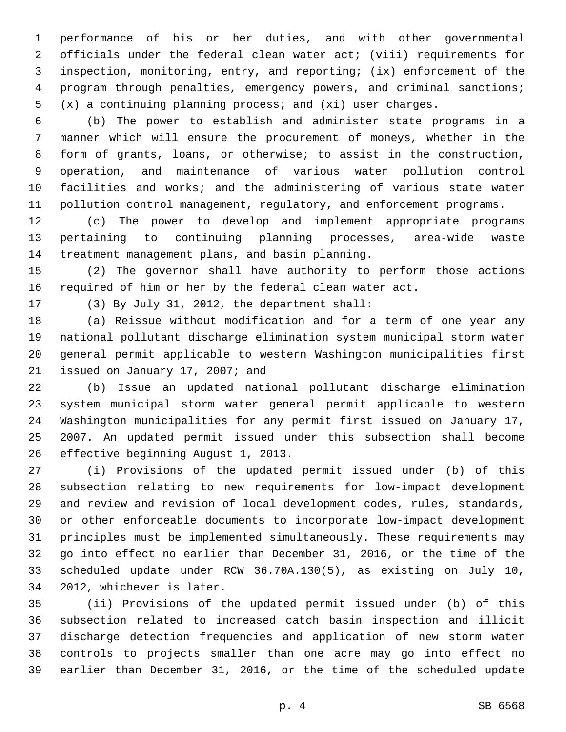performance of his or her duties, and with other governmental officials under the federal clean water act; (viii) requirements for inspection, monitoring, entry, and reporting; (ix) enforcement of the program through penalties, emergency powers, and criminal sanctions; (x) a continuing planning process; and (xi) user charges.

 (b) The power to establish and administer state programs in a manner which will ensure the procurement of moneys, whether in the form of grants, loans, or otherwise; to assist in the construction, operation, and maintenance of various water pollution control facilities and works; and the administering of various state water pollution control management, regulatory, and enforcement programs.

 (c) The power to develop and implement appropriate programs pertaining to continuing planning processes, area-wide waste 14 treatment management plans, and basin planning.

 (2) The governor shall have authority to perform those actions required of him or her by the federal clean water act.

17 (3) By July 31, 2012, the department shall:

 (a) Reissue without modification and for a term of one year any national pollutant discharge elimination system municipal storm water general permit applicable to western Washington municipalities first 21 issued on January 17, 2007; and

 (b) Issue an updated national pollutant discharge elimination system municipal storm water general permit applicable to western Washington municipalities for any permit first issued on January 17, 2007. An updated permit issued under this subsection shall become 26 effective beginning August 1, 2013.

 (i) Provisions of the updated permit issued under (b) of this subsection relating to new requirements for low-impact development and review and revision of local development codes, rules, standards, or other enforceable documents to incorporate low-impact development principles must be implemented simultaneously. These requirements may go into effect no earlier than December 31, 2016, or the time of the scheduled update under RCW 36.70A.130(5), as existing on July 10, 34 2012, whichever is later.

 (ii) Provisions of the updated permit issued under (b) of this subsection related to increased catch basin inspection and illicit discharge detection frequencies and application of new storm water controls to projects smaller than one acre may go into effect no earlier than December 31, 2016, or the time of the scheduled update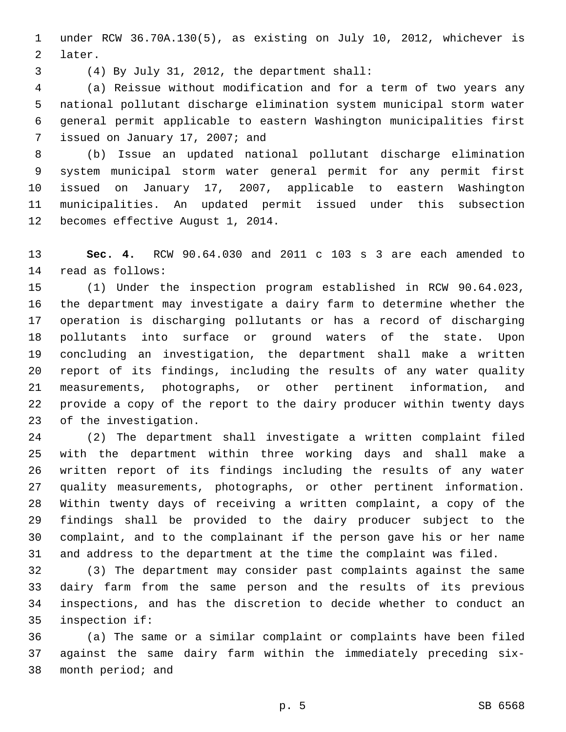under RCW 36.70A.130(5), as existing on July 10, 2012, whichever is 2 later.

(4) By July 31, 2012, the department shall:3

 (a) Reissue without modification and for a term of two years any national pollutant discharge elimination system municipal storm water general permit applicable to eastern Washington municipalities first 7 issued on January 17, 2007; and

 (b) Issue an updated national pollutant discharge elimination system municipal storm water general permit for any permit first issued on January 17, 2007, applicable to eastern Washington municipalities. An updated permit issued under this subsection 12 becomes effective August 1, 2014.

 **Sec. 4.** RCW 90.64.030 and 2011 c 103 s 3 are each amended to 14 read as follows:

 (1) Under the inspection program established in RCW 90.64.023, the department may investigate a dairy farm to determine whether the operation is discharging pollutants or has a record of discharging pollutants into surface or ground waters of the state. Upon concluding an investigation, the department shall make a written report of its findings, including the results of any water quality measurements, photographs, or other pertinent information, and provide a copy of the report to the dairy producer within twenty days 23 of the investigation.

 (2) The department shall investigate a written complaint filed with the department within three working days and shall make a written report of its findings including the results of any water quality measurements, photographs, or other pertinent information. Within twenty days of receiving a written complaint, a copy of the findings shall be provided to the dairy producer subject to the complaint, and to the complainant if the person gave his or her name and address to the department at the time the complaint was filed.

 (3) The department may consider past complaints against the same dairy farm from the same person and the results of its previous inspections, and has the discretion to decide whether to conduct an 35 inspection if:

 (a) The same or a similar complaint or complaints have been filed against the same dairy farm within the immediately preceding six-38 month period; and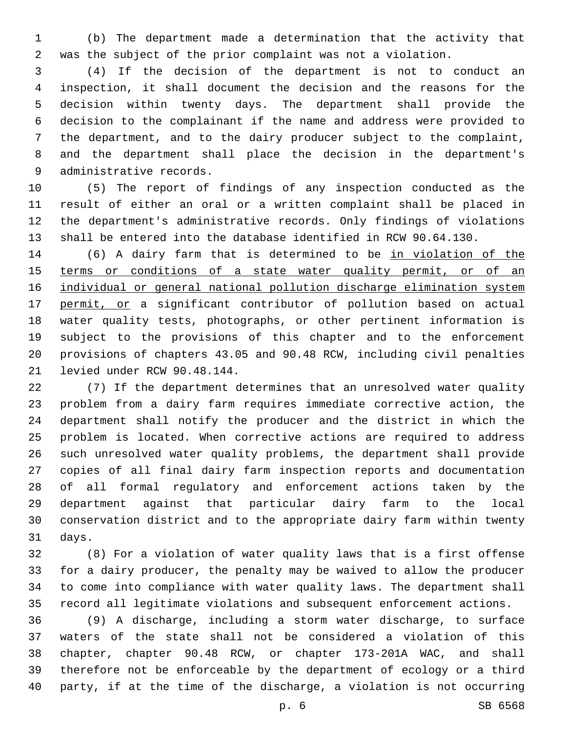(b) The department made a determination that the activity that was the subject of the prior complaint was not a violation.

 (4) If the decision of the department is not to conduct an inspection, it shall document the decision and the reasons for the decision within twenty days. The department shall provide the decision to the complainant if the name and address were provided to the department, and to the dairy producer subject to the complaint, and the department shall place the decision in the department's 9 administrative records.

 (5) The report of findings of any inspection conducted as the result of either an oral or a written complaint shall be placed in the department's administrative records. Only findings of violations shall be entered into the database identified in RCW 90.64.130.

 (6) A dairy farm that is determined to be in violation of the 15 terms or conditions of a state water quality permit, or of an individual or general national pollution discharge elimination system 17 permit, or a significant contributor of pollution based on actual water quality tests, photographs, or other pertinent information is subject to the provisions of this chapter and to the enforcement provisions of chapters 43.05 and 90.48 RCW, including civil penalties 21 levied under RCW 90.48.144.

 (7) If the department determines that an unresolved water quality problem from a dairy farm requires immediate corrective action, the department shall notify the producer and the district in which the problem is located. When corrective actions are required to address such unresolved water quality problems, the department shall provide copies of all final dairy farm inspection reports and documentation of all formal regulatory and enforcement actions taken by the department against that particular dairy farm to the local conservation district and to the appropriate dairy farm within twenty 31 days.

 (8) For a violation of water quality laws that is a first offense for a dairy producer, the penalty may be waived to allow the producer to come into compliance with water quality laws. The department shall record all legitimate violations and subsequent enforcement actions.

 (9) A discharge, including a storm water discharge, to surface waters of the state shall not be considered a violation of this chapter, chapter 90.48 RCW, or chapter 173-201A WAC, and shall therefore not be enforceable by the department of ecology or a third party, if at the time of the discharge, a violation is not occurring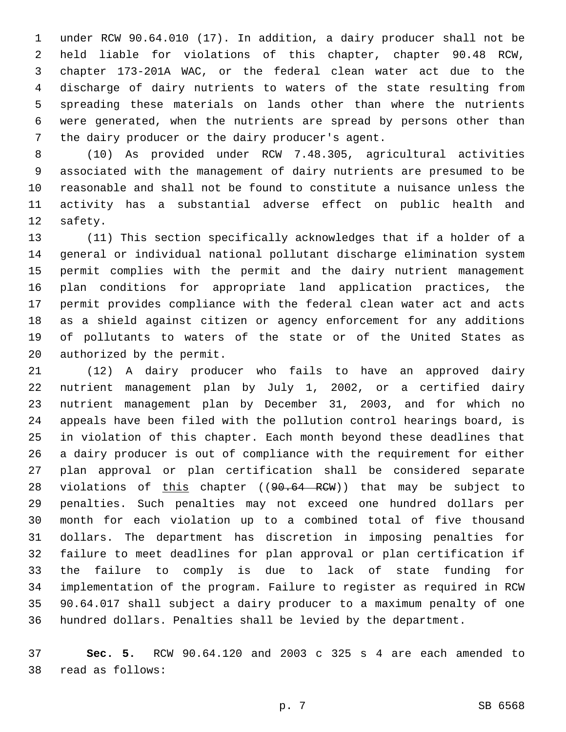under RCW 90.64.010 (17). In addition, a dairy producer shall not be held liable for violations of this chapter, chapter 90.48 RCW, chapter 173-201A WAC, or the federal clean water act due to the discharge of dairy nutrients to waters of the state resulting from spreading these materials on lands other than where the nutrients were generated, when the nutrients are spread by persons other than 7 the dairy producer or the dairy producer's agent.

 (10) As provided under RCW 7.48.305, agricultural activities associated with the management of dairy nutrients are presumed to be reasonable and shall not be found to constitute a nuisance unless the activity has a substantial adverse effect on public health and 12 safety.

 (11) This section specifically acknowledges that if a holder of a general or individual national pollutant discharge elimination system permit complies with the permit and the dairy nutrient management plan conditions for appropriate land application practices, the permit provides compliance with the federal clean water act and acts as a shield against citizen or agency enforcement for any additions of pollutants to waters of the state or of the United States as 20 authorized by the permit.

 (12) A dairy producer who fails to have an approved dairy nutrient management plan by July 1, 2002, or a certified dairy nutrient management plan by December 31, 2003, and for which no appeals have been filed with the pollution control hearings board, is in violation of this chapter. Each month beyond these deadlines that a dairy producer is out of compliance with the requirement for either plan approval or plan certification shall be considered separate 28 violations of this chapter ((90.64 RCW)) that may be subject to penalties. Such penalties may not exceed one hundred dollars per month for each violation up to a combined total of five thousand dollars. The department has discretion in imposing penalties for failure to meet deadlines for plan approval or plan certification if the failure to comply is due to lack of state funding for implementation of the program. Failure to register as required in RCW 90.64.017 shall subject a dairy producer to a maximum penalty of one hundred dollars. Penalties shall be levied by the department.

 **Sec. 5.** RCW 90.64.120 and 2003 c 325 s 4 are each amended to read as follows:38

p. 7 SB 6568